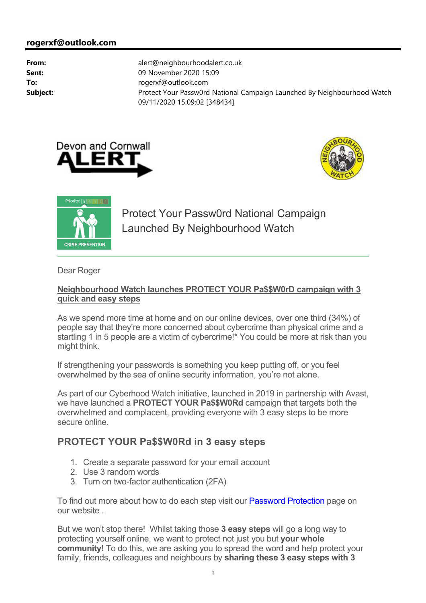





Protect Your Passw0rd National Campaign Launched By Neighbourhood Watch

Dear Roger

## **Neighbourhood Watch launches PROTECT YOUR Pa\$\$W0rD campaign with 3 quick and easy steps**

As we spend more time at home and on our online devices, over one third (34%) of people say that they're more concerned about cybercrime than physical crime and a startling 1 in 5 people are a victim of cybercrime!\* You could be more at risk than you might think.

If strengthening your passwords is something you keep putting off, or you feel overwhelmed by the sea of online security information, you're not alone.

As part of our Cyberhood Watch initiative, launched in 2019 in partnership with Avast, we have launched a **PROTECT YOUR Pa\$\$W0Rd** campaign that targets both the overwhelmed and complacent, providing everyone with 3 easy steps to be more secure online.

# **PROTECT YOUR Pa\$\$W0Rd in 3 easy steps**

- 1. Create a separate password for your email account
- 2. Use 3 random words
- 3. Turn on two-factor authentication (2FA)

To find out more about how to do each step visit our Password Protection page on our website .

But we won't stop there! Whilst taking those **3 easy steps** will go a long way to protecting yourself online, we want to protect not just you but **your whole community**! To do this, we are asking you to spread the word and help protect your family, friends, colleagues and neighbours by **sharing these 3 easy steps with 3**